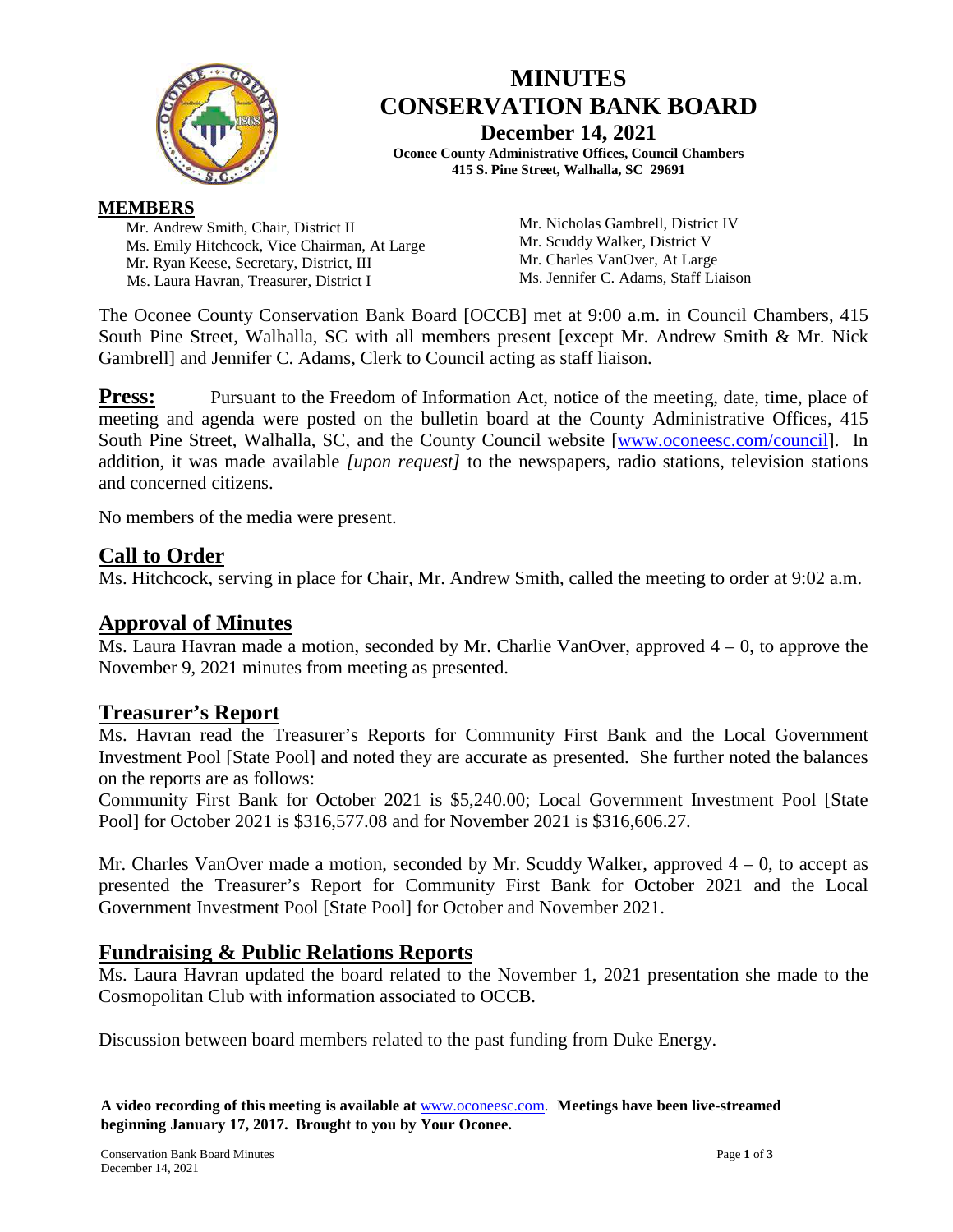

# **MINUTES CONSERVATION BANK BOARD December 14, 2021**

**Oconee County Administrative Offices, Council Chambers 415 S. Pine Street, Walhalla, SC 29691**

#### **MEMBERS**

Mr. Andrew Smith, Chair, District II Ms. Emily Hitchcock, Vice Chairman, At Large Mr. Ryan Keese, Secretary, District, III Ms. Laura Havran, Treasurer, District I

Mr. Nicholas Gambrell, District IV Mr. Scuddy Walker, District V Mr. Charles VanOver, At Large Ms. Jennifer C. Adams, Staff Liaison

The Oconee County Conservation Bank Board [OCCB] met at 9:00 a.m. in Council Chambers, 415 South Pine Street, Walhalla, SC with all members present [except Mr. Andrew Smith & Mr. Nick Gambrell] and Jennifer C. Adams, Clerk to Council acting as staff liaison.

**Press:** Pursuant to the Freedom of Information Act, notice of the meeting, date, time, place of meeting and agenda were posted on the bulletin board at the County Administrative Offices, 415 South Pine Street, Walhalla, SC, and the County Council website [\[www.oconeesc.com/council\]](http://www.oconeesc.com/council). In addition, it was made available *[upon request]* to the newspapers, radio stations, television stations and concerned citizens.

No members of the media were present.

## **Call to Order**

Ms. Hitchcock, serving in place for Chair, Mr. Andrew Smith, called the meeting to order at 9:02 a.m.

## **Approval of Minutes**

 $\overline{M}$ s. Laura Havran made a motion, seconded by Mr. Charlie VanOver, approved 4 – 0, to approve the November 9, 2021 minutes from meeting as presented.

### **Treasurer's Report**

Ms. Havran read the Treasurer's Reports for Community First Bank and the Local Government Investment Pool [State Pool] and noted they are accurate as presented. She further noted the balances on the reports are as follows:

Community First Bank for October 2021 is \$5,240.00; Local Government Investment Pool [State Pool] for October 2021 is \$316,577.08 and for November 2021 is \$316,606.27.

Mr. Charles VanOver made a motion, seconded by Mr. Scuddy Walker, approved  $4 - 0$ , to accept as presented the Treasurer's Report for Community First Bank for October 2021 and the Local Government Investment Pool [State Pool] for October and November 2021.

### **Fundraising & Public Relations Reports**

Ms. Laura Havran updated the board related to the November 1, 2021 presentation she made to the Cosmopolitan Club with information associated to OCCB.

Discussion between board members related to the past funding from Duke Energy.

**A video recording of this meeting is available at** [www.oconeesc.com.](http://www.oconeesc.com/) **Meetings have been live-streamed beginning January 17, 2017. Brought to you by Your Oconee.**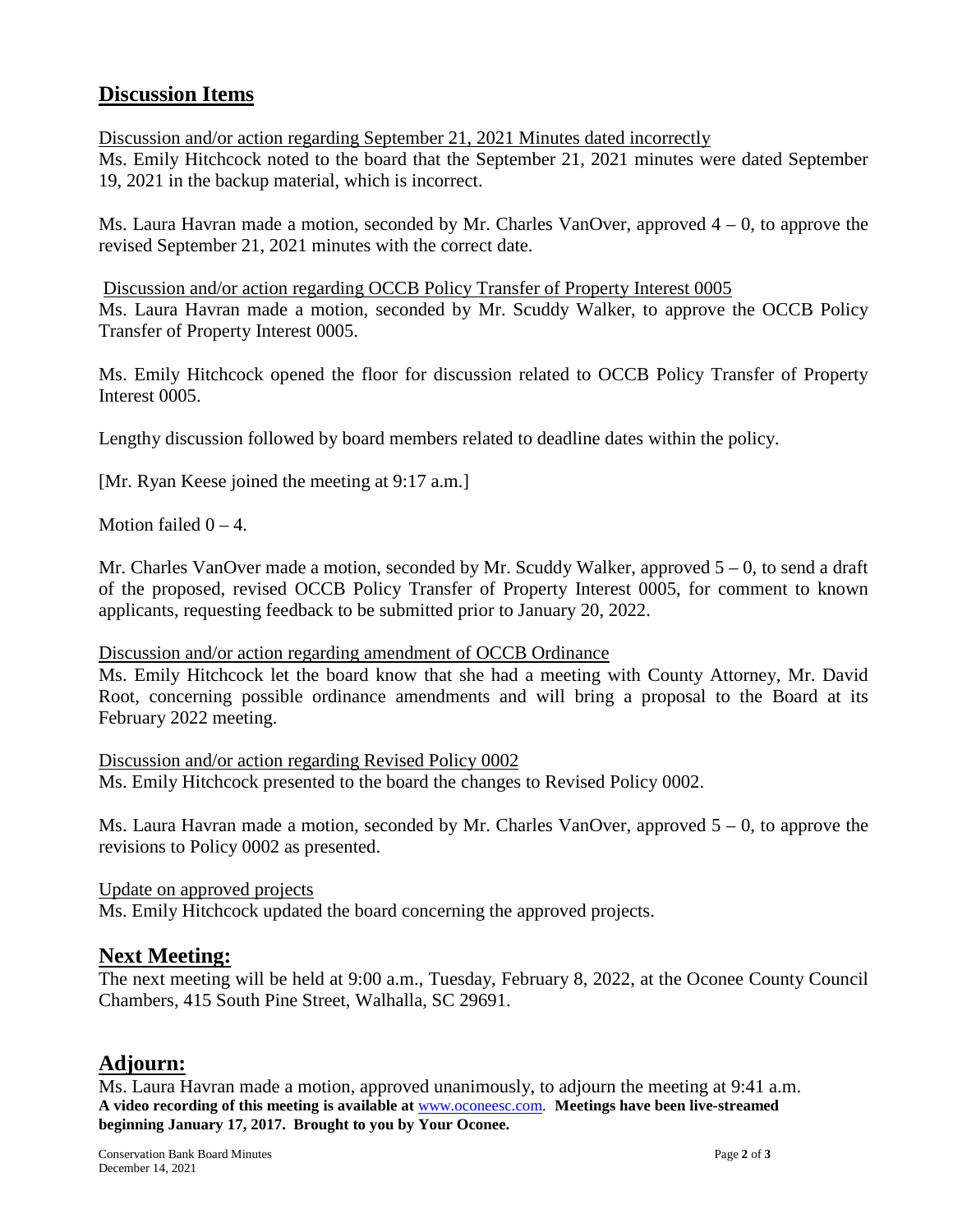## **Discussion Items**

Discussion and/or action regarding September 21, 2021 Minutes dated incorrectly Ms. Emily Hitchcock noted to the board that the September 21, 2021 minutes were dated September 19, 2021 in the backup material, which is incorrect.

Ms. Laura Havran made a motion, seconded by Mr. Charles VanOver, approved  $4 - 0$ , to approve the revised September 21, 2021 minutes with the correct date.

Discussion and/or action regarding OCCB Policy Transfer of Property Interest 0005 Ms. Laura Havran made a motion, seconded by Mr. Scuddy Walker, to approve the OCCB Policy Transfer of Property Interest 0005.

Ms. Emily Hitchcock opened the floor for discussion related to OCCB Policy Transfer of Property Interest 0005.

Lengthy discussion followed by board members related to deadline dates within the policy.

[Mr. Ryan Keese joined the meeting at 9:17 a.m.]

Motion failed  $0 - 4$ .

Mr. Charles VanOver made a motion, seconded by Mr. Scuddy Walker, approved  $5 - 0$ , to send a draft of the proposed, revised OCCB Policy Transfer of Property Interest 0005, for comment to known applicants, requesting feedback to be submitted prior to January 20, 2022.

#### Discussion and/or action regarding amendment of OCCB Ordinance

Ms. Emily Hitchcock let the board know that she had a meeting with County Attorney, Mr. David Root, concerning possible ordinance amendments and will bring a proposal to the Board at its February 2022 meeting.

Discussion and/or action regarding Revised Policy 0002 Ms. Emily Hitchcock presented to the board the changes to Revised Policy 0002.

Ms. Laura Havran made a motion, seconded by Mr. Charles VanOver, approved  $5 - 0$ , to approve the revisions to Policy 0002 as presented.

Update on approved projects Ms. Emily Hitchcock updated the board concerning the approved projects.

#### **Next Meeting:**

The next meeting will be held at 9:00 a.m., Tuesday, February 8, 2022, at the Oconee County Council Chambers, 415 South Pine Street, Walhalla, SC 29691.

## **Adjourn:**

**A video recording of this meeting is available at** [www.oconeesc.com.](http://www.oconeesc.com/) **Meetings have been live-streamed beginning January 17, 2017. Brought to you by Your Oconee.** Ms. Laura Havran made a motion, approved unanimously, to adjourn the meeting at 9:41 a.m.